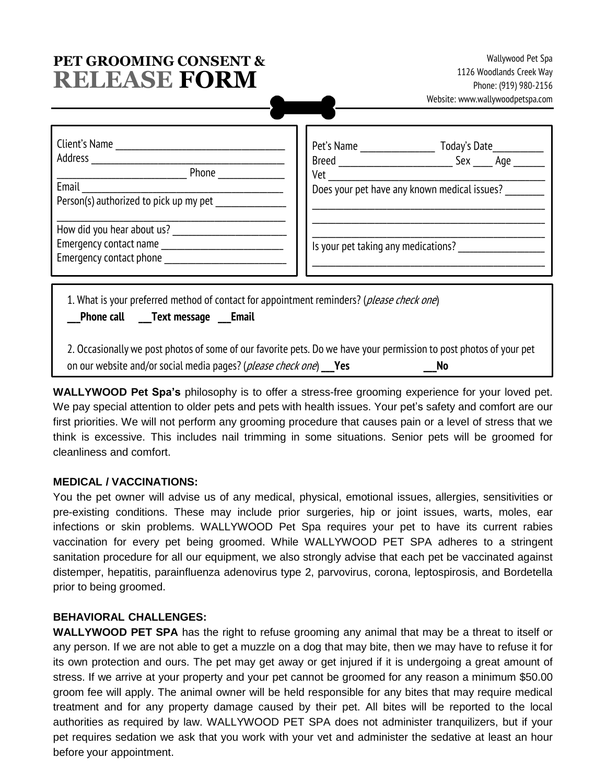# **PET GROOMING CONSENT & RELEASE FORM**

**Wallywood Pet Spa 1126 Woodlands Creek Way Phone: (919) 980-2156 Website: www.wallywoodpetspa.com**

| Client's Name<br>Address<br>Phone<br>Email<br>Person(s) authorized to pick up my pet                                                       | Pet's Name<br>Breed<br>Vet          | Today's Date<br>Sex<br>Age<br>Does your pet have any known medical issues? |
|--------------------------------------------------------------------------------------------------------------------------------------------|-------------------------------------|----------------------------------------------------------------------------|
| How did you hear about us?<br>Emergency contact name<br>Emergency contact phone                                                            | Is your pet taking any medications? |                                                                            |
| 1. What is your preferred method of contact for appointment reminders? ( <i>please check one</i> )<br><b>Phone call Text message Email</b> |                                     |                                                                            |

**2. Occasionally we post photos of some of our favorite pets. Do we have your permission to post photos of your pet on our website and/or social media pages? (please check one) \_\_\_Yes \_\_\_No**

**WALLYWOOD Pet Spa's** philosophy is to offer a stress-free grooming experience for your loved pet. We pay special attention to older pets and pets with health issues. Your pet's safety and comfort are our first priorities. We will not perform any grooming procedure that causes pain or a level of stress that we think is excessive. This includes nail trimming in some situations. Senior pets will be groomed for cleanliness and comfort.

#### **MEDICAL / VACCINATIONS:**

You the pet owner will advise us of any medical, physical, emotional issues, allergies, sensitivities or pre-existing conditions. These may include prior surgeries, hip or joint issues, warts, moles, ear infections or skin problems. WALLYWOOD Pet Spa requires your pet to have its current rabies vaccination for every pet being groomed. While WALLYWOOD PET SPA adheres to a stringent sanitation procedure for all our equipment, we also strongly advise that each pet be vaccinated against distemper, hepatitis, parainfluenza adenovirus type 2, parvovirus, corona, leptospirosis, and Bordetella prior to being groomed.

### **BEHAVIORAL CHALLENGES:**

**WALLYWOOD PET SPA** has the right to refuse grooming any animal that may be a threat to itself or any person. If we are not able to get a muzzle on a dog that may bite, then we may have to refuse it for its own protection and ours. The pet may get away or get injured if it is undergoing a great amount of stress. If we arrive at your property and your pet cannot be groomed for any reason a minimum \$50.00 groom fee will apply. The animal owner will be held responsible for any bites that may require medical treatment and for any property damage caused by their pet. All bites will be reported to the local authorities as required by law. WALLYWOOD PET SPA does not administer tranquilizers, but if your pet requires sedation we ask that you work with your vet and administer the sedative at least an hour before your appointment.